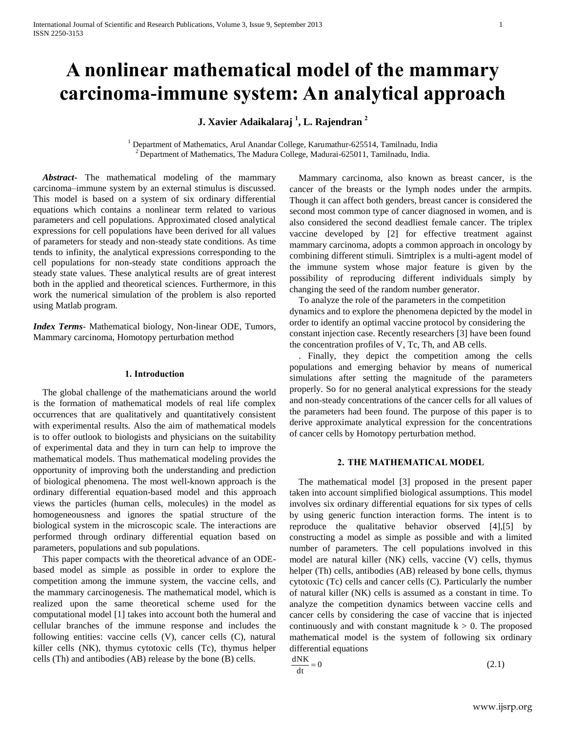# **A nonlinear mathematical model of the mammary carcinoma-immune system: An analytical approach**

**J. Xavier Adaikalaraj <sup>1</sup> , L. Rajendran <sup>2</sup>**

<sup>1</sup> Department of Mathematics, Arul Anandar College, Karumathur-625514, Tamilnadu, India <sup>2</sup> Department of Mathematics, The Madura College, Madurai-625011, Tamilnadu, India.

 *Abstract***-** The mathematical modeling of the mammary carcinoma–immune system by an external stimulus is discussed. This model is based on a system of six ordinary differential equations which contains a nonlinear term related to various parameters and cell populations. Approximated closed analytical expressions for cell populations have been derived for all values of parameters for steady and non-steady state conditions. As time tends to infinity, the analytical expressions corresponding to the cell populations for non-steady state conditions approach the steady state values. These analytical results are of great interest both in the applied and theoretical sciences. Furthermore, in this work the numerical simulation of the problem is also reported using Matlab program.

*Index Terms*- Mathematical biology, Non-linear ODE, Tumors, Mammary carcinoma, Homotopy perturbation method

#### **1. Introduction**

The global challenge of the mathematicians around the world is the formation of mathematical models of real life complex occurrences that are qualitatively and quantitatively consistent with experimental results. Also the aim of mathematical models is to offer outlook to biologists and physicians on the suitability of experimental data and they in turn can help to improve the mathematical models. Thus mathematical modeling provides the opportunity of improving both the understanding and prediction of biological phenomena. The most well-known approach is the ordinary differential equation-based model and this approach views the particles (human cells, molecules) in the model as homogeneousness and ignores the spatial structure of the biological system in the microscopic scale. The interactions are performed through ordinary differential equation based on parameters, populations and sub populations.

This paper compacts with the theoretical advance of an ODEbased model as simple as possible in order to explore the competition among the immune system, the vaccine cells, and the mammary carcinogenesis. The mathematical model, which is realized upon the same theoretical scheme used for the computational model [1] takes into account both the humeral and cellular branches of the immune response and includes the following entities: vaccine cells (V), cancer cells (C), natural killer cells (NK), thymus cytotoxic cells (Tc), thymus helper cells (Th) and antibodies (AB) release by the bone (B) cells.

Mammary carcinoma, also known as breast cancer, is the cancer of the breasts or the lymph nodes under the armpits. Though it can affect both genders, breast cancer is considered the second most common type of cancer diagnosed in women, and is also considered the second deadliest female cancer. The triplex vaccine developed by [2] for effective treatment against mammary carcinoma, adopts a common approach in oncology by combining different stimuli. Simtriplex is a multi-agent model of the immune system whose major feature is given by the possibility of reproducing different individuals simply by changing the seed of the random number generator.

To analyze the role of the parameters in the competition dynamics and to explore the phenomena depicted by the model in order to identify an optimal vaccine protocol by considering the constant injection case. Recently researchers [3] have been found the concentration profiles of V, Tc, Th, and AB cells.

. Finally, they depict the competition among the cells populations and emerging behavior by means of numerical simulations after setting the magnitude of the parameters properly. So for no general analytical expressions for the steady and non-steady concentrations of the cancer cells for all values of the parameters had been found. The purpose of this paper is to derive approximate analytical expression for the concentrations of cancer cells by Homotopy perturbation method.

## **2. THE MATHEMATICAL MODEL**

The mathematical model [3] proposed in the present paper taken into account simplified biological assumptions. This model involves six ordinary differential equations for six types of cells by using generic function interaction forms. The intent is to reproduce the qualitative behavior observed [4],[5] by constructing a model as simple as possible and with a limited number of parameters. The cell populations involved in this model are natural killer (NK) cells, vaccine (V) cells, thymus helper (Th) cells, antibodies (AB) released by bone cells, thymus cytotoxic (Tc) cells and cancer cells (C). Particularly the number of natural killer (NK) cells is assumed as a constant in time. To analyze the competition dynamics between vaccine cells and cancer cells by considering the case of vaccine that is injected continuously and with constant magnitude  $k > 0$ . The proposed mathematical model is the system of following six ordinary differential equations

$$
\frac{dNK}{dt} = 0\tag{2.1}
$$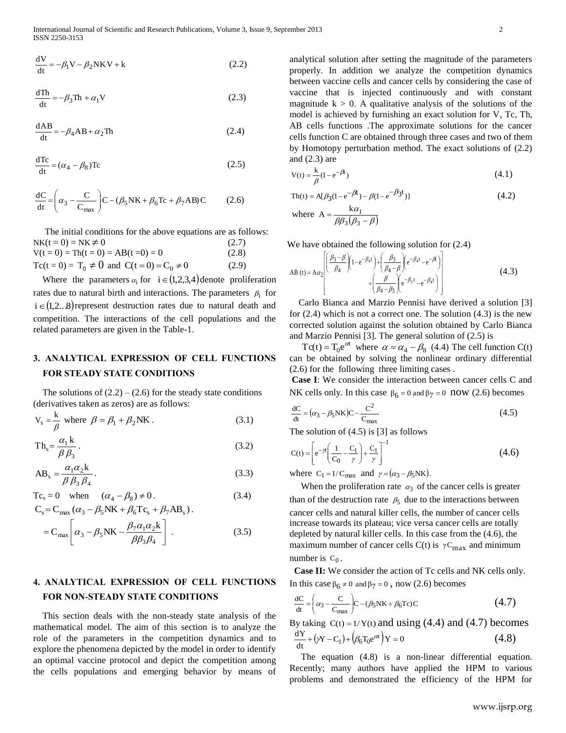$$
\frac{dV}{dt} = -\beta_1 V - \beta_2 NKV + k \tag{2.2}
$$

$$
\frac{dTh}{dt} = -\beta_3 Th + \alpha_1 V \tag{2.3}
$$

$$
\frac{\text{dAB}}{\text{dt}} = -\beta_4 \text{AB} + \alpha_2 \text{Th}
$$
 (2.4)

$$
\frac{dTc}{dt} = (\alpha_4 - \beta_8)Tc
$$
 (2.5)

$$
\frac{dC}{dt} = \left(\alpha_3 - \frac{C}{C_{\text{max}}}\right) C - (\beta_5 NK + \beta_6 Tc + \beta_7 AB) C \tag{2.6}
$$

The initial conditions for the above equations are as follows:  $NK(t = 0) = NK \neq$  $(2.7)$  $V(t = 0) = Th(t = 0) = AB(t = 0) = 0$  (2.8)  $Tc(t = 0) = T_0 \neq 0$  and  $C(t = 0) = C_0 \neq 0$  (2.9)

Where the parameters  $\alpha_i$  for  $i \in (1,2,3,4)$  denote proliferation rates due to natural birth and interactions. The parameters  $\rho_i$  for  $i \in (1,2...8)$  represent destruction rates due to natural death and competition. The interactions of the cell populations and the related parameters are given in the Table-1.

# **3. ANALYTICAL EXPRESSION OF CELL FUNCTIONS FOR STEADY STATE CONDITIONS**

The solutions of  $(2.2) - (2.6)$  for the steady state conditions (derivatives taken as zeros) are as follows:

$$
V_s = \frac{k}{\beta} \text{ where } \beta = \beta_1 + \beta_2 NK. \tag{3.1}
$$

$$
Th_s = \frac{\alpha_1 k}{\beta \beta_3}.
$$
\n(3.2)

$$
AB_s = \frac{\alpha_1 \alpha_2 k}{\beta \beta_3 \beta_4}.
$$
\n(3.3)

$$
Tc_s = 0 \quad \text{when} \quad (\alpha_4 - \beta_8) \neq 0. \tag{3.4}
$$

$$
C_{s} = C_{\text{max}} (\alpha_{3} - \beta_{5}NK + \beta_{6}Tc_{s} + \beta_{7}AB_{s}).
$$
  
= 
$$
C_{\text{max}} \left[ \alpha_{3} - \beta_{5}NK - \frac{\beta_{7}\alpha_{1}\alpha_{2}k}{\beta\beta_{3}\beta_{4}} \right].
$$
 (3.5)

# **4. ANALYTICAL EXPRESSION OF CELL FUNCTIONS FOR NON-STEADY STATE CONDITIONS**

This section deals with the non-steady state analysis of the mathematical model. The aim of this section is to analyze the role of the parameters in the competition dynamics and to explore the phenomena depicted by the model in order to identify an optimal vaccine protocol and depict the competition among the cells populations and emerging behavior by means of

V- $\beta$ ,NKV+1<br>
V- $\beta$ ,NKV+1<br>
(3.2) property in Address neare close and convertise and convertise and convertise and convertise and convertise and convertise and convertise and convertise and the interest of the interest of analytical solution after setting the magnitude of the parameters properly. In addition we analyze the competition dynamics between vaccine cells and cancer cells by considering the case of vaccine that is injected continuously and with constant magnitude  $k > 0$ . A qualitative analysis of the solutions of the model is achieved by furnishing an exact solution for V, Tc, Th, AB cells functions .The approximate solutions for the cancer cells function C are obtained through three cases and two of them by Homotopy perturbation method. The exact solutions of (2.2) and (2.3) are

$$
V(t) = \frac{k}{\beta} (1 - e^{-\beta t})
$$
\n
$$
(4.1)
$$

$$
\text{Th}(t) = A[\beta_3(1 - e^{-\beta t}) - \beta(1 - e^{-\beta 3t})]
$$
\n
$$
\text{where } A = \frac{k\alpha_1}{\beta \beta_3 (\beta_3 - \beta)}
$$
\n(4.2)

We have obtained the following solution for (2.4)

AB (t) = 
$$
A\alpha_2 \left[ \frac{\left(\frac{\beta_3 - \beta}{\beta_4}\right)\left(1 - e^{-\beta_4 t}\right) + \left(\frac{\beta_3}{\beta_4 - \beta}\right) e^{-\beta_4 t} - e^{-\beta_4 t}}{\left(\frac{\beta}{\beta_4 - \beta_3}\right) e^{-\beta_3 t} - e^{-\beta_4 t}} \right]
$$
 (4.3)

Carlo Bianca and Marzio Pennisi have derived a solution [3] for (2.4) which is not a correct one. The solution (4.3) is the new corrected solution against the solution obtained by Carlo Bianca and Marzio Pennisi [3]. The general solution of (2.5) is

Tc(t) = T<sub>0</sub>e<sup> $\alpha$ </sup> where  $\alpha = \alpha_4 - \beta_8$  (4.4) The cell function C(t) can be obtained by solving the nonlinear ordinary differential (2.6) for the following three limiting cases .

**Case I**: We consider the interaction between cancer cells C and NK cells only. In this case  $\beta_6 = 0$  and  $\beta_7 = 0$  now (2.6) becomes

$$
\frac{dC}{dt} = (\alpha_3 - \beta_5 NK)C - \frac{C^2}{C_{max}}\tag{4.5}
$$

The solution of (4.5) is [3] as follows

$$
C(t) = \left[ e^{-\gamma t} \left( \frac{1}{C_0} - \frac{C_1}{\gamma} \right) + \frac{C_1}{\gamma} \right]^{-1}
$$
(4.6)

where  $C_1 = 1/C_{\text{max}}$  and  $\gamma = (\alpha_3 - \beta_5 N K)$ .

When the proliferation rate  $\alpha_3$  of the cancer cells is greater than of the destruction rate  $\beta_5$  due to the interactions between cancer cells and natural killer cells, the number of cancer cells increase towards its plateau; vice versa cancer cells are totally depleted by natural killer cells. In this case from the (4.6), the maximum number of cancer cells  $C(t)$  is  $\gamma C_{\text{max}}$  and minimum number is  $C_0$ .

**Case II:** We consider the action of Tc cells and NK cells only. In this case  $\beta_6 \neq 0$  and  $\beta_7 = 0$ , now (2.6) becomes

$$
\frac{dC}{dt} = \left(\alpha_3 - \frac{C}{C_{\text{max}}}\right) C - (\beta_5 N K + \beta_6 T c) C \tag{4.7}
$$

By taking  $C(t) = 1/Y(t)$  and using (4.4) and (4.7) becomes  $\frac{d^{2}L}{dt} + (\gamma Y - C_1) + (\beta_6 T_0 e^{c\alpha}) Y = 0$  $\frac{dY}{dt} + (\gamma Y - C_1) + (\beta_6 T_0 e^{ct}) Y = 0$  (4.8)

The equation (4.8) is a non-linear differential equation. Recently; many authors have applied the HPM to various problems and demonstrated the efficiency of the HPM for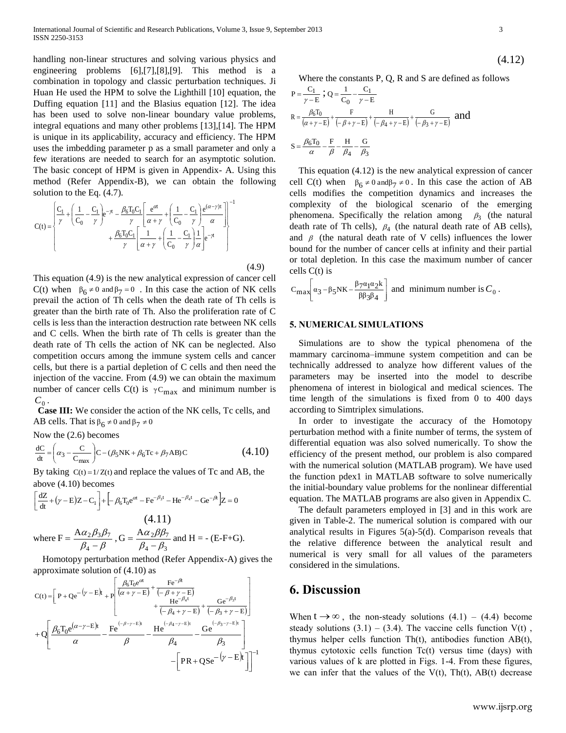handling non-linear structures and solving various physics and engineering problems [6],[7],[8],[9]. This method is a combination in topology and classic perturbation techniques. Ji Huan He used the HPM to solve the Lighthill [10] equation, the Duffing equation [11] and the Blasius equation [12]. The idea has been used to solve non-linear boundary value problems, integral equations and many other problems [13],[14]. The HPM is unique in its applicability, accuracy and efficiency. The HPM uses the imbedding parameter p as a small parameter and only a few iterations are needed to search for an asymptotic solution. The basic concept of HPM is given in Appendix- A. Using this method (Refer Appendix-B), we can obtain the following solution to the Eq. (4.7).

$$
C(t) = \begin{cases} \frac{C_1}{\gamma} + \left(\frac{1}{C_0} - \frac{C_1}{\gamma}\right) e^{-\gamma t} - \frac{\beta_6 T_0 C_1}{\gamma} \left[\frac{e^{\alpha t}}{\alpha + \gamma} + \left(\frac{1}{C_0} - \frac{C_1}{\gamma}\right) \frac{e^{(\alpha - \gamma)t}}{\alpha}\right] \\ + \frac{\beta_6 T_0 C_1}{\gamma} \left[\frac{1}{\alpha + \gamma} + \left(\frac{1}{C_0} - \frac{C_1}{\gamma}\right) \frac{1}{\alpha}\right] e^{-\gamma t} \end{cases} \end{cases}
$$

 (4.9) This equation (4.9) is the new analytical expression of cancer cell C(t) when  $\beta_6 \neq 0$  and  $\beta_7 = 0$ . In this case the action of NK cells prevail the action of Th cells when the death rate of Th cells is greater than the birth rate of Th. Also the proliferation rate of C cells is less than the interaction destruction rate between NK cells and C cells. When the birth rate of Th cells is greater than the death rate of Th cells the action of NK can be neglected. Also competition occurs among the immune system cells and cancer cells, but there is a partial depletion of C cells and then need the injection of the vaccine. From (4.9) we can obtain the maximum number of cancer cells C(t) is  $\gamma C_{\text{max}}$  and minimum number is  $C_0$  .

**Case III:** We consider the action of the NK cells, Tc cells, and AB cells. That is  $\beta_6 \neq 0$  and  $\beta_7 \neq 0$ 

Now the (2.6) becomes

$$
\frac{dC}{dt} = \left(\alpha_3 - \frac{C}{C_{max}}\right) C - (\beta_5 NK + \beta_6 Tc + \beta_7 AB) C
$$
\n(4.10)

By taking  $C(t) = 1/Z(t)$  and replace the values of Tc and AB, the above (4.10) becomes

$$
\left[\frac{dZ}{dt} + (\gamma - E)Z - C_1\right] + \left[-\beta_6 T_0 e^{ct} - F e^{-\beta_3 t} - H e^{-\beta_4 t} - G e^{-\beta t}\right]Z = 0
$$
\n(4.11)

where F = 
$$
\frac{A\alpha_2\beta_3\beta_7}{\beta_4 - \beta}
$$
, G =  $\frac{A\alpha_2\beta\beta_7}{\beta_4 - \beta_3}$  and H = - (E-F+G).

Homotopy perturbation method (Refer Appendix-A) gives the approximate solution of (4.10) as

$$
C(t) = \left[ P + Qe^{-(\gamma - E)t} + P \left[ \frac{\beta_6 T_0 e^{c\alpha}}{(\alpha + \gamma - E)} + \frac{F e^{-\beta t}}{(-\beta + \gamma - E)} + \frac{G e^{-\beta_3 t}}{(-\beta_4 + \gamma - E)} \right] + Q \left[ \frac{\beta_6 T_0 e^{(\alpha - \gamma - E)t}}{\alpha} - \frac{F e^{(-\beta - \gamma - E)t}}{\beta} - \frac{H e^{(-\beta_4 - \gamma - E)t}}{\beta_4} - \frac{G e^{(-\beta_3 - \gamma - E)t}}{\beta_3} \right] - \left[ PR + QSe^{-(\gamma - E)t} \right]^{-1}
$$

$$
(4.12)
$$

Where the constants P, Q, R and S are defined as follows

$$
P = \frac{C_1}{\gamma - E}; Q = \frac{1}{C_0} - \frac{C_1}{\gamma - E}
$$
  
\n
$$
R = \frac{\beta_6 T_0}{(\alpha + \gamma - E)} + \frac{F}{(-\beta + \gamma - E)} + \frac{H}{(-\beta_4 + \gamma - E)} + \frac{G}{(-\beta_3 + \gamma - E)}
$$
 and  
\n
$$
S = \frac{\beta_6 T_0}{\alpha} - \frac{F}{\beta} - \frac{H}{\beta_4} - \frac{G}{\beta_3}
$$

This equation (4.12) is the new analytical expression of cancer cell C(t) when  $\beta_6 \neq 0$  and  $\beta_7 \neq 0$ . In this case the action of AB cells modifies the competition dynamics and increases the complexity of the biological scenario of the emerging phenomena. Specifically the relation among  $\beta_3$  (the natural death rate of Th cells),  $\beta_4$  (the natural death rate of AB cells), and  $\beta$  (the natural death rate of V cells) influences the lower bound for the number of cancer cells at infinity and their partial or total depletion. In this case the maximum number of cancer cells C(t) is

$$
C_{\max} \left[ \alpha_3 - \beta_5 N K - \frac{\beta_7 \alpha_1 \alpha_2 k}{\beta \beta_3 \beta_4} \right] \text{ and minimum number is } C_0.
$$

#### **5. NUMERICAL SIMULATIONS**

Simulations are to show the typical phenomena of the mammary carcinoma–immune system competition and can be technically addressed to analyze how different values of the parameters may be inserted into the model to describe phenomena of interest in biological and medical sciences. The time length of the simulations is fixed from 0 to 400 days according to Simtriplex simulations.

In order to investigate the accuracy of the Homotopy perturbation method with a finite number of terms, the system of differential equation was also solved numerically. To show the efficiency of the present method, our problem is also compared with the numerical solution (MATLAB program). We have used the function pdex1 in MATLAB software to solve numerically the initial-boundary value problems for the nonlinear differential equation. The MATLAB programs are also given in Appendix C.

The default parameters employed in [3] and in this work are given in Table-2. The numerical solution is compared with our analytical results in Figures 5(a)-5(d). Comparison reveals that the relative difference between the analytical result and numerical is very small for all values of the parameters considered in the simulations.

# **6. Discussion**

When  $t \rightarrow \infty$ , the non-steady solutions (4.1) – (4.4) become steady solutions  $(3.1) - (3.4)$ . The vaccine cells function V(t), thymus helper cells function Th(t), antibodies function AB(t), thymus cytotoxic cells function Tc(t) versus time (days) with various values of k are plotted in Figs. 1-4. From these figures, we can infer that the values of the  $V(t)$ , Th(t), AB(t) decrease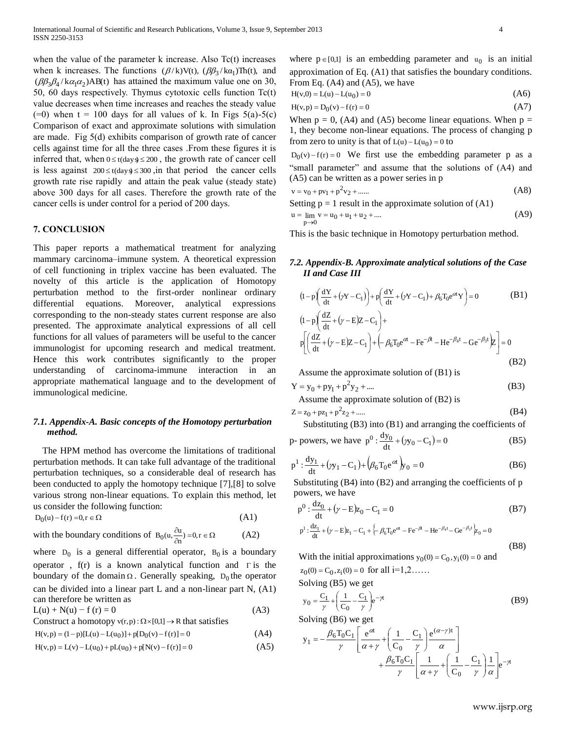when the value of the parameter  $k$  increase. Also  $Tc(t)$  increases when k increases. The functions  $(\beta/k)V(t)$ ,  $(\beta\beta_3/k\alpha_1)\text{Th}(t)$ , and  $(\beta \beta_3 \beta_4 / k \alpha_1 \alpha_2)$ AB(t) has attained the maximum value one on 30, 50, 60 days respectively. Thymus cytotoxic cells function Tc(t) value decreases when time increases and reaches the steady value  $(=0)$  when t = 100 days for all values of k. In Figs 5(a)-5(c) Comparison of exact and approximate solutions with simulation are made. Fig 5(d) exhibits comparison of growth rate of cancer cells against time for all the three cases .From these figures it is inferred that, when  $0 \le t$ (days)  $\le 200$ , the growth rate of cancer cell is less against  $200 \le t \text{(day)} \le 300$ , in that period the cancer cells growth rate rise rapidly and attain the peak value (steady state) above 300 days for all cases. Therefore the growth rate of the cancer cells is under control for a period of 200 days.

#### **7. CONCLUSION**

This paper reports a mathematical treatment for analyzing mammary carcinoma–immune system. A theoretical expression of cell functioning in triplex vaccine has been evaluated. The novelty of this article is the application of Homotopy perturbation method to the first-order nonlinear ordinary differential equations. Moreover, analytical expressions corresponding to the non-steady states current response are also presented. The approximate analytical expressions of all cell functions for all values of parameters will be useful to the cancer immunologist for upcoming research and medical treatment. Hence this work contributes significantly to the proper understanding of carcinoma-immune interaction in an appropriate mathematical language and to the development of immunological medicine.

## *7.1. Appendix-A. Basic concepts of the Homotopy perturbation method.*

The HPM method has overcome the limitations of traditional perturbation methods. It can take full advantage of the traditional perturbation techniques, so a considerable deal of research has been conducted to apply the homotopy technique [7],[8] to solve various strong non-linear equations. To explain this method, let us consider the following function:

$$
D_0(u) - f(r) = 0, r \in \Omega
$$
\n
$$
(A1)
$$

with the boundary conditions of  $B_0(u, \frac{\partial u}{\partial n}) = 0, r \in \Omega$  $\frac{\partial u}{\partial n}$ ) = 0, r  $B_0(u, \frac{\partial u}{\partial u})$ (A2)

where  $D_0$  is a general differential operator,  $B_0$  is a boundary operator,  $f(r)$  is a known analytical function and  $\Gamma$  is the boundary of the domain  $\Omega$ . Generally speaking,  $D_0$  the operator can be divided into a linear part L and a non-linear part N, (A1) can therefore be written as

$$
L(u) + N(u) - f(r) = 0
$$
 (A3)

Construct a homotopy 
$$
v(r, p) : \Omega \times [0,1] \to R
$$
 that satisfies

$$
H(v,p) = (1-p)[L(u) - L(u_0)] + p[D_0(v) - f(r)] = 0
$$
\n(A4)

$$
H(v, p) = L(v) - L(u_0) + pL(u_0) + p[N(v) - f(r)] = 0
$$
\n(A5)

where  $p \in [0,1]$  is an embedding parameter and  $u_0$  is an initial approximation of Eq. (A1) that satisfies the boundary conditions. From Eq. (A4) and (A5), we have

$$
H(v,0) = L(u) - L(u_0) = 0
$$
\n(A6)

$$
H(v, p) = D_0(v) - f(r) = 0
$$
 (A7)

When  $p = 0$ , (A4) and (A5) become linear equations. When  $p =$ 1, they become non-linear equations. The process of changing p from zero to unity is that of  $L(u) - L(u_0) = 0$  to

 $D_0(v) - f(r) = 0$  We first use the embedding parameter p as a "small parameter" and assume that the solutions of (A4) and (A5) can be written as a power series in p

$$
v = v_0 + pv_1 + p^2 v_2 + \dots
$$
 (A8)

Setting  $p = 1$  result in the approximate solution of  $(A1)$  $u = \lim_{v \to 0} v = u_0 + u_1 + u_2 + \dots$  $p\rightarrow 0$ (A9)

This is the basic technique in Homotopy perturbation method.

### *7.2. Appendix-B. Approximate analytical solutions of the Case II and Case III*

$$
(1-p)\left(\frac{dY}{dt} + (\gamma Y - C_1)\right) + p\left(\frac{dY}{dt} + (\gamma Y - C_1) + \beta_6 T_0 e^{\alpha t} Y\right) = 0
$$
\n
$$
(1-p)\left(\frac{dZ}{dt} + (\gamma - E)Z - C_1\right) + \left[ \beta_6 T_0 e^{\alpha t} - F e^{-\beta t} - H e^{-\beta_4 t} - G e^{-\beta_5 t} \right] = 0
$$
\n
$$
(B2)
$$

Assume the approximate solution of (B1) is

$$
Y = y_0 + py_1 + p^2 y_2 + \dots
$$
 (B3)

Assume the approximate solution of (B2) is

$$
Z = z_0 + pz_1 + p^2 z_2 + \dots
$$
 (B4)

Substituting (B3) into (B1) and arranging the coefficients of

p powers, we have 
$$
p^0: \frac{dy_0}{dt} + (y_0 - C_1) = 0
$$
 (B5)

$$
p^{1} : \frac{dy_{1}}{dt} + (y_{1} - C_{1}) + (\beta_{6}T_{0}e^{\alpha t})y_{0} = 0
$$
 (B6)

Substituting (B4) into (B2) and arranging the coefficients of p powers, we have

$$
p^{0}: \frac{dz_{0}}{dt} + (\gamma - E)z_{0} - C_{1} = 0
$$
 (B7)

$$
p^{1} : \frac{dZ_{1}}{dt} + (\gamma - E)Z_{1} - C_{1} + \frac{1}{C}\beta_{6}T_{0}e^{at} - Fe^{-\beta} - He^{-\beta_{4}t} - Ge^{-\beta_{3}t}\gamma_{0} = 0
$$
\n(B8)

With the initial approximations  $y_0(0) = C_0$ ,  $y_i(0) = 0$  and  $z_0(0) = C_0, z_i(0) = 0$  for all  $i=1,2,......$ 

Solving (B5) we get

$$
y_0 = \frac{C_1}{\gamma} + \left(\frac{1}{C_0} - \frac{C_1}{\gamma}\right) e^{-\gamma t}
$$
 (B9)

Solving (B6) we get

$$
y_1 = -\frac{\beta_6 T_0 C_1}{\gamma} \left[ \frac{e^{at}}{\alpha + \gamma} + \left( \frac{1}{C_0} - \frac{C_1}{\gamma} \right) \frac{e^{(\alpha - \gamma)t}}{\alpha} \right] + \frac{\beta_6 T_0 C_1}{\gamma} \left[ \frac{1}{\alpha + \gamma} + \left( \frac{1}{C_0} - \frac{C_1}{\gamma} \right) \frac{1}{\alpha} \right] e^{-\gamma t}
$$

www.ijsrp.org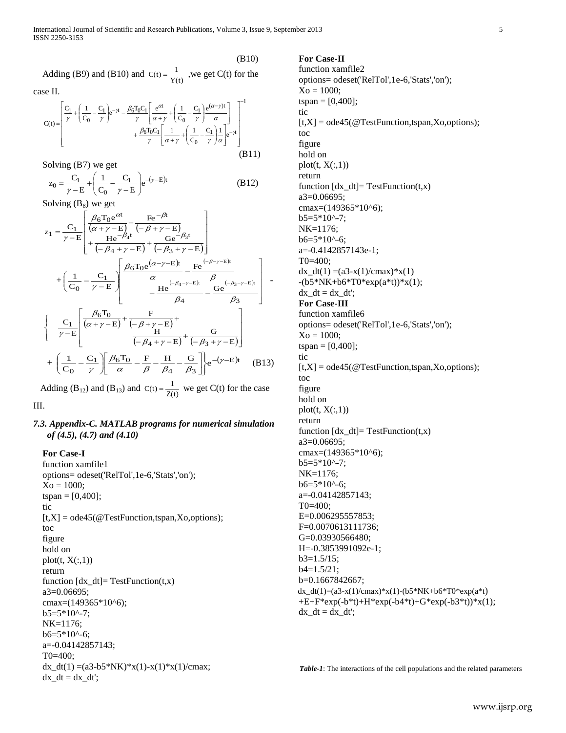(B10)

Adding (B9) and (B10) and  $C(t) = \frac{1}{Y(t)}$  $C(t) = \frac{1}{\sqrt{1-t}}$ , we get  $C(t)$  for the

case II.

$$
C(t) = \left[ \frac{C_1}{\gamma} + \left( \frac{1}{C_0} - \frac{C_1}{\gamma} \right) e^{-\gamma t} - \frac{\beta_6 T_0 C_1}{\gamma} \left[ \frac{e^{\alpha t}}{\alpha + \gamma} + \left( \frac{1}{C_0} - \frac{C_1}{\gamma} \right) \frac{e^{(\alpha - \gamma)t}}{\alpha} \right] + \frac{\beta_6 T_0 C_1}{\gamma} \left[ \frac{1}{\alpha + \gamma} + \left( \frac{1}{C_0} - \frac{C_1}{\gamma} \right) \frac{1}{\alpha} \right] e^{-\gamma t} \right]
$$
\n(B11)

Solving (B7) we get

$$
z_0 = \frac{C_1}{\gamma - E} + \left(\frac{1}{C_0} - \frac{C_1}{\gamma - E}\right) e^{-(\gamma - E)t}
$$
 (B12)

Solving  $(B_8)$  we get

$$
z_{1} = \frac{C_{1}}{\gamma - E} \left[ \frac{\beta_{6}T_{0}e^{\alpha t}}{(\alpha + \gamma - E)} + \frac{F_{e}^{-\beta t}}{(-\beta + \gamma - E)} \right] + \frac{H_{e}^{-\beta_{4}t}}{(-\beta_{4} + \gamma - E)} + \frac{G_{e}^{-\beta_{3}t}}{(-\beta_{3} + \gamma - E)} \right]
$$
  
+ 
$$
\left( \frac{1}{C_{0}} - \frac{C_{1}}{\gamma - E} \right) \left[ \frac{\beta_{6}T_{0}e^{(\alpha - \gamma - E)t}}{\alpha} - \frac{F_{e}^{(-\beta - \gamma - E)t}}{\beta_{4}} - \frac{G_{e}^{(-\beta_{3} - \gamma - E)t}}{\beta_{3}} \right]
$$
  

$$
\left\{ \frac{C_{1}}{\gamma - E} \left[ \frac{\beta_{6}T_{0}}{(\alpha + \gamma - E)} + \frac{F}{(-\beta + \gamma - E)} + \frac{G}{(-\beta_{3} + \gamma - E)} \right] + \frac{G}{(-\beta_{4} + \gamma - E)} + \frac{G}{(-\beta_{3} + \gamma - E)} \right]
$$
  
+ 
$$
\left( \frac{1}{C_{0}} - \frac{C_{1}}{\gamma} \right) \left[ \frac{\beta_{6}T_{0}}{\alpha} - \frac{F}{\beta} - \frac{H}{\beta_{4}} - \frac{G}{\beta_{3}} \right] e^{-(\gamma - E)t} \quad (B13)
$$

Adding (B<sub>12</sub>) and (B<sub>13</sub>) and C(t) =  $\frac{1}{Z(t)}$  $C(t) = \frac{1}{\sigma(t)}$  we get  $C(t)$  for the case III.

## *7.3. Appendix-C. MATLAB programs for numerical simulation of (4.5), (4.7) and (4.10)*

**For Case-I** function xamfile1 options= odeset('RelTol',1e-6,'Stats','on');  $Xo = 1000;$  $tspan = [0,400]$ ; tic  $[t, X] = ode45$  (@TestFunction,tspan,Xo,options); toc figure hold on  $plot(t, X(:,1))$ return function  $[dx \ dt]$ = TestFunction(t,x) a3=0.06695; cmax=(149365\*10^6);  $b5=5*10^{\circ}$ -7; NK=1176;  $b6=5*10^{\circ}$ -6; a=-0.04142857143; T0=400; dx\_dt(1) =(a3-b5\*NK)\*x(1)-x(1)\*x(1)/cmax;  $dx_d = dx_d$ :

## **For Case-II**

function xamfile2 options= odeset('RelTol',1e-6,'Stats','on');  $Xo = 1000;$  $tspan = [0,400];$ tic  $[t, X] = ode45$  ( $@TestFunction, tspan, Xo, options$ ); toc figure hold on  $plot(t, X(:,1))$ return function  $[dx_dt]$  = TestFunction(t,x) a3=0.06695; cmax=(149365\*10^6); b5=5\*10^-7; NK=1176;  $b6=5*10^{\circ}$ -6; a=-0.4142857143e-1; T0=400;  $dx_d(t) = (a3-x(1)/cmax)*x(1)$  $-(b5*NK+b6*T0*exp(a*t))*x(1);$  $dx$  dt = dx dt'; **For Case-III** function xamfile6 options= odeset('RelTol',1e-6,'Stats','on');  $Xo = 1000;$  $tspan = [0,400]$ ; tic  $[t, X] = ode45$  (@TestFunction,tspan,Xo,options); toc figure hold on  $plot(t, X(:,1))$ return function  $[dx_d]=TestFunction(t,x)$ a3=0.06695; cmax=(149365\*10^6);  $b5=5*10^{\circ} - 7;$ NK=1176;  $b6=5*10^{\circ}$ -6; a=-0.04142857143; T0=400; E=0.006295557853; F=0.0070613111736; G=0.03930566480; H=-0.3853991092e-1; b3=1.5/15; b4=1.5/21; b=0.1667842667;  $dx_d(t) = (a3-x(1)/cmax)*x(1)-(b5*NK+b6*T0*exp(a*t))$  $+E+F*exp(-b*t)+H*exp(-b4*t)+G*exp(-b3*t))*x(1);$  $dx_d t = dx_d t'$ ;

*Table-1*: The interactions of the cell populations and the related parameters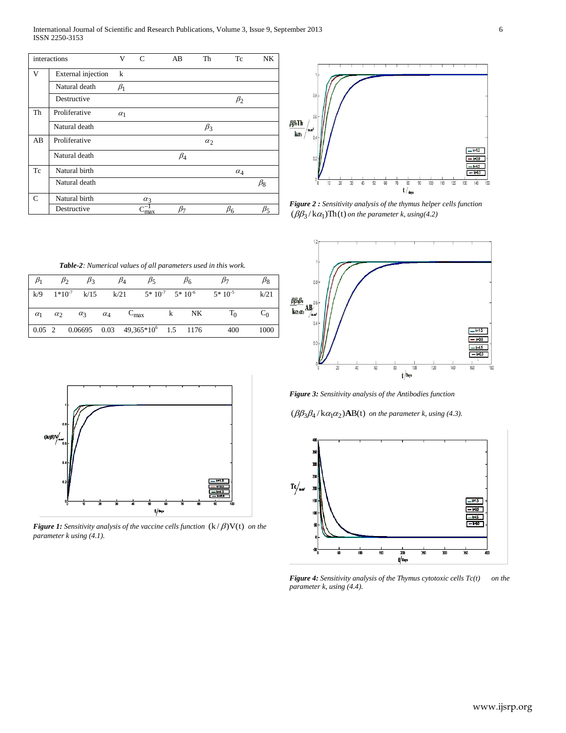International Journal of Scientific and Research Publications, Volume 3, Issue 9, September 2013 6 ISSN 2250-3153

| interactions  |                    | V          | $\mathcal{C}$ | AB           | Th         | Tc         | NK.       |
|---------------|--------------------|------------|---------------|--------------|------------|------------|-----------|
| V             | External injection | $\bf k$    |               |              |            |            |           |
|               | Natural death      | $\beta_1$  |               |              |            |            |           |
|               | Destructive        |            |               |              |            | $\beta_2$  |           |
| Th            | Proliferative      | $\alpha_1$ |               |              |            |            |           |
|               | Natural death      |            |               |              | $\beta_3$  |            |           |
| AB            | Proliferative      |            |               |              | $\alpha_2$ |            |           |
|               | Natural death      |            |               | $\beta_4$    |            |            |           |
| Tc            | Natural birth      |            |               |              |            | $\alpha_4$ |           |
|               | Natural death      |            |               |              |            |            | $\beta_8$ |
| $\mathcal{C}$ | Natural birth      |            | $\alpha_3$    |              |            |            |           |
|               | Destructive        |            | max           | $_{\beta_7}$ |            | $\beta_6$  | Þ٢        |



*Figure 2 : Sensitivity analysis of the thymus helper cells function*   $(\beta \beta_3 / k \alpha_1)$ Th(t) on the parameter k, using(4.2)



*Table-2: Numerical values of all parameters used in this work.*

| $\beta_1$  | $\beta_2$  | $\beta_3$        |            | $\beta_4$<br>$\beta_5$                                                                              |    | $\beta_6$      |             | Þ8.   |
|------------|------------|------------------|------------|-----------------------------------------------------------------------------------------------------|----|----------------|-------------|-------|
| k/9        |            | $1*10^{-7}$ k/15 |            | $k/21$ $5*10^{-7}$ $5*10^{-6}$                                                                      |    |                | $5*10^{-5}$ | k/21  |
| $\alpha_1$ | $\alpha_2$ | $\alpha_3$       | $\alpha_4$ | $C_{\text{max}}$                                                                                    | k. | N <sub>K</sub> | $T_0$       | $C_0$ |
|            |            |                  |            | $\begin{array}{cccccc} \n0.05 & 2 & 0.06695 & 0.03 & 49,365 \times 10^6 & 1.5 & 1176 \n\end{array}$ |    |                | 400         | 1000  |



**Figure 1:** Sensitivity analysis of the vaccine cells function  $(k/\beta)V(t)$  on the *parameter k using (4.1).*

*Figure 3: Sensitivity analysis of the Antibodies function* 

 $(\beta\beta_3\beta_4/\kappa\alpha_1\alpha_2)$ **AB**(t) on the parameter k, using (4.3).



*Figure 4: Sensitivity analysis of the Thymus cytotoxic cells Tc(t) on the parameter k, using (4.4).*